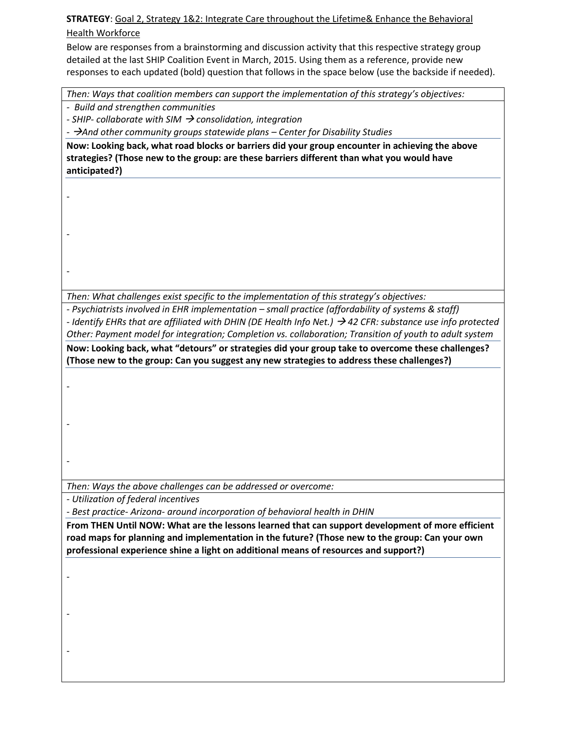**STRATEGY**: Goal 2, Strategy 1&2: Integrate Care throughout the Lifetime& Enhance the Behavioral Health Workforce

Below are responses from a brainstorming and discussion activity that this respective strategy group detailed at the last SHIP Coalition Event in March, 2015. Using them as a reference, provide new responses to each updated (bold) question that follows in the space below (use the backside if needed).

*Then: Ways that coalition members can support the implementation of this strategy's objectives:* 

*- Build and strengthen communities* 

-

-

-

-

-

-

-

-

-

*- SHIP- collaborate with SIM consolidation, integration* 

*- And other community groups statewide plans – Center for Disability Studies* 

**Now: Looking back, what road blocks or barriers did your group encounter in achieving the above strategies? (Those new to the group: are these barriers different than what you would have anticipated?)** 

*Then: What challenges exist specific to the implementation of this strategy's objectives:* 

*- Psychiatrists involved in EHR implementation – small practice (affordability of systems & staff) - Identify EHRs that are affiliated with DHIN (DE Health Info Net.) 42 CFR: substance use info protected Other: Payment model for integration; Completion vs. collaboration; Transition of youth to adult system* 

**Now: Looking back, what ͞detours͟ or strategies did your group take to overcome these challenges? (Those new to the group: Can you suggest any new strategies to address these challenges?)**

*Then: Ways the above challenges can be addressed or overcome:* 

*- Utilization of federal incentives* 

*- Best practice- Arizona- around incorporation of behavioral health in DHIN* 

**From THEN Until NOW: What are the lessons learned that can support development of more efficient road maps for planning and implementation in the future? (Those new to the group: Can your own professional experience shine a light on additional means of resources and support?)**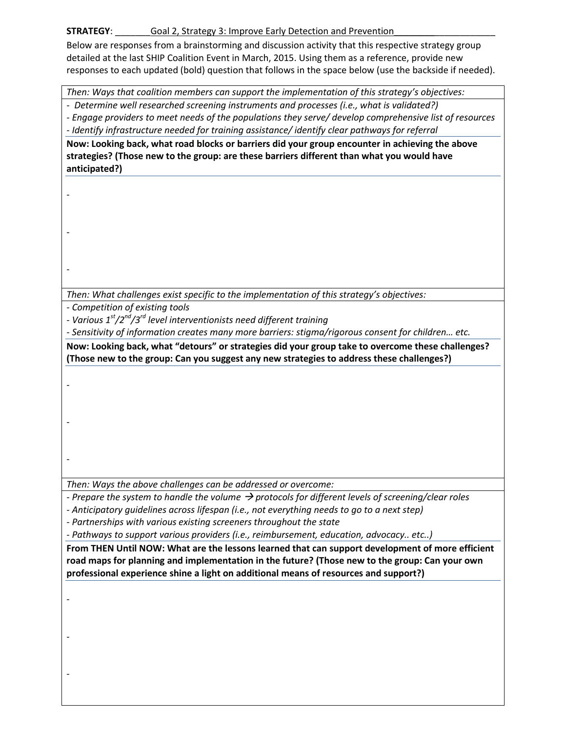## Goal 2, Strategy 3: Improve Early Detection and Prevention **STRATEGY:**

Below are responses from a brainstorming and discussion activity that this respective strategy group detailed at the last SHIP Coalition Event in March, 2015. Using them as a reference, provide new responses to each updated (bold) question that follows in the space below (use the backside if needed).

Then: Ways that coalition members can support the implementation of this strategy's objectives:

- Determine well researched screening instruments and processes (i.e., what is validated?)

- Engage providers to meet needs of the populations they serve/ develop comprehensive list of resources - Identify infrastructure needed for training assistance/identify clear pathways for referral

Now: Looking back, what road blocks or barriers did your group encounter in achieving the above strategies? (Those new to the group: are these barriers different than what you would have anticipated?)

Then: What challenges exist specific to the implementation of this strategy's objectives:

- Competition of existing tools

- Various  $1^{st}/2^{nd}/3^{rd}$  level interventionists need different training

- Sensitivity of information creates many more barriers: stigma/rigorous consent for children... etc.

Now: Looking back, what "detours" or strategies did your group take to overcome these challenges? (Those new to the group: Can you suggest any new strategies to address these challenges?)

Then: Ways the above challenges can be addressed or overcome:

- Prepare the system to handle the volume  $\rightarrow$  protocols for different levels of screening/clear roles - Anticipatory quidelines across lifespan (i.e., not everything needs to go to a next step)

- Partnerships with various existing screeners throughout the state

- Pathways to support various providers (i.e., reimbursement, education, advocacy.. etc..)

From THEN Until NOW: What are the lessons learned that can support development of more efficient road maps for planning and implementation in the future? (Those new to the group: Can your own professional experience shine a light on additional means of resources and support?)

 $\overline{a}$